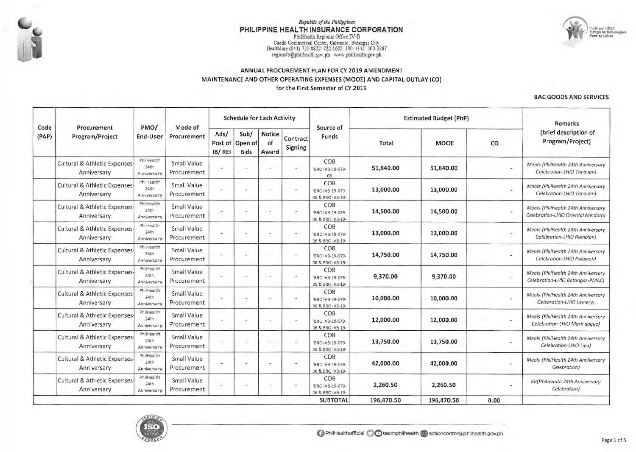

# Republic of the Philippines PHILIPPINE HEALTH INSURANCE CORPORATION PhilHealth Regional Office IV-B

Caedo Commercial Center, Calicanto, Batangas City<br>Healthline (043) 723-8822/722-1602/300-4342/300-3267 region4b@philhealth.gov.ph www.philhealth.gov.ph

#### ANNUAL PROCUREMENT PLAN FOR CY 2019 AMENDMENT MAINTENANCE AND OTHER OPERATING EXPENSES (MOOE) AND CAPITAL OUTLAY (CO)  $\sim$ for the First Semester of CY 2019

#### **BAC GOODS AND SERVICES**

| Code  | Procurement<br>Program/Project                          | PMO/<br>End-User                  | Mode of<br>Procurement     |                           | <b>Schedule for Each Activity</b> |                              |                          | Source of                                   |            | <b>Estimated Budget (PhP)</b> | Remarks        |                                                                          |
|-------|---------------------------------------------------------|-----------------------------------|----------------------------|---------------------------|-----------------------------------|------------------------------|--------------------------|---------------------------------------------|------------|-------------------------------|----------------|--------------------------------------------------------------------------|
| (PAP) |                                                         |                                   |                            | Ads/<br>Post of<br>IB/REI | Sub/<br>Open of<br><b>Bids</b>    | <b>Notice</b><br>of<br>Award | Contract<br>Signing      | Funds                                       | Total      | <b>MOOE</b>                   | co             | (brief description of<br>Program/Project)                                |
|       | Cultural & Athletic Expenses-<br>Anniversary            | PhilHealth<br>24th<br>Anniversary | Small Value<br>Procurement |                           |                                   |                              | $\overline{\phantom{a}}$ | COB<br>'BRO IVB-19-079-<br>06               | 51,840.00  | 51,840.00                     |                | Meals (PhilHealth 24th Anniversary<br>Celebration-LHIO Tanauan)          |
|       | Cultural & Athletic Expenses-<br>Anniversary            | PhilHealth<br>24th<br>Anniversary | Small Value<br>Procurement |                           |                                   |                              | $\sim$                   | COB<br>'BRO IVB-19-079-<br>06 & BRO IVB-19- | 13,000.00  | 13,000.00                     | ×              | Meals (PhilHealth 24th Anniversary<br>Celebration-LHIO Tanauan)          |
|       | Cultural & Athletic Expenses-<br>Anniversary            | PhilHealth<br>24th<br>Anniversary | Small Value<br>Procurement |                           |                                   |                              | $\tilde{\phantom{a}}$    | COB<br>'BRO IVB-19-079-<br>06 & BRO IVB-19- | 14,500.00  | 14,500.00                     |                | Meals (PhilHealth 24th Anniversary<br>Celebration-LHIO Oriental Mindoro) |
|       | <b>Cultural &amp; Athletic Expenses-</b><br>Anniversary | PhilHealth<br>24th<br>Anniversary | Small Value<br>Procurement | i.                        |                                   | ٠                            | ٠                        | COB<br>'BRO IVB-19-079-<br>06 & BRO IVB-19- | 13,000.00  | 13,000.00                     | $\sim$         | Meals (PhilHealth 24th Anniversary<br>Celebration-LHIO Romblon)          |
|       | Cultural & Athletic Expenses-<br>Anniversary            | PhilHealth<br>24th<br>Anniversary | Small Value<br>Procurement |                           |                                   |                              | ÷                        | COB<br>'BRO IVB-19-079-<br>06 & BRO IVB-19- | 14,750.00  | 14,750.00                     | $\blacksquare$ | Meals (PhilHealth 24th Anniversary<br>Celebration-LHIO Palawan)          |
|       | Cultural & Athletic Expenses-<br>Anniversary            | PhilHealth<br>24th<br>Anniversary | Small Value<br>Procurement |                           |                                   |                              | $\overline{\phantom{a}}$ | COB<br>'BRO IVB-19-079-<br>06 & BRO IVB-19- | 9,370.00   | 9,370.00                      |                | Meals (PhilHealth 24th Anniversary<br>Celebration-LHIO Batangos-PMAC)    |
|       | <b>Cultural &amp; Athletic Expenses-</b><br>Anniversary | PhilHealth<br>24th<br>Anniversary | Small Value<br>Procurement | c.                        |                                   |                              | ٠                        | COB<br>'BRO IVB-19-079-<br>06 & BRO IVB-19- | 10,000.00  | 10,000.00                     | $\sim$         | Meals (PhilHealth 24th Anniversary<br>Celebration-LHIO Lemery)           |
|       | Cultural & Athletic Expenses-<br>Anniversary            | PhilHealth<br>24th<br>Anniversary | Small Value<br>Procurement |                           |                                   | ÷                            | ٠                        | COB<br>'BRO IVB-19-079-<br>06 & BRO IVB-19- | 12,000.00  | 12,000.00                     | $\sim$         | Meals (PhilHealth 24th Anniversary<br>Celebration-LHIO Marinduque)       |
|       | Cultural & Athletic Expenses-<br>Anniversary            | PhilHealth<br>24th<br>Anniversary | Small Value<br>Procurement | $\sim$                    |                                   |                              | $\overline{a}$           | COB<br>'BRO IVB-19-079-<br>06 & BRO IVB-19- | 13,750.00  | 13,750.00                     | ×              | Meals (PhilHealth 24th Anniversary<br>Celebration-LHIO Lipa)             |
|       | Cultural & Athletic Expenses-<br>Anniversary            | PhilHealth<br>24th<br>Anniversary | Small Value<br>Procurement |                           |                                   |                              | ۰                        | COB<br>'BRO IVB-19-079-<br>06 & BRO IVB-19- | 42,000.00  | 42,000.00                     | $\sim$         | Meals (PhilHealth 24th Anniversary<br>Celebration)                       |
|       | Cultural & Athletic Expenses-<br>Anniversary            | PhilHealth<br>24th<br>Anniversary | Small Value<br>Procurement | $\overline{\phantom{a}}$  |                                   |                              | ٠                        | COB<br>'BRO IVB-19-079-<br>06 & BRO IVB-19- | 2,260.50   | 2,260.50                      |                | Kit(PhilHealth 24th Anniversary<br>Celebration)                          |
|       |                                                         |                                   |                            |                           |                                   |                              |                          | <b>SUBTOTAL</b>                             | 196,470.50 | 196,470.50                    | 0.00           |                                                                          |



 $\tilde{\mathbf{S}}$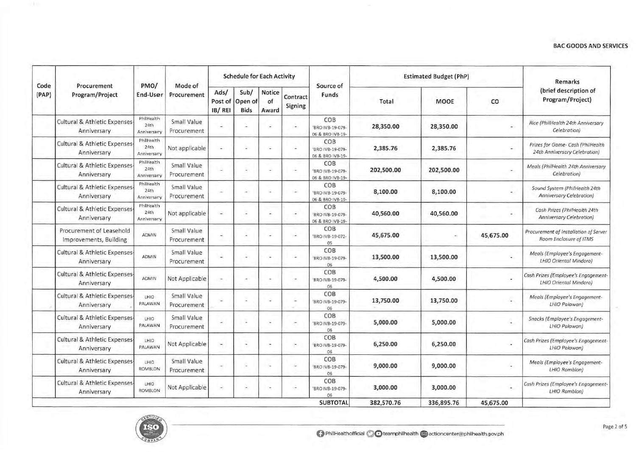|               | Procurement<br>Program/Project                         |                                   |                            |                           | <b>Schedule for Each Activity</b> |                              |                     |                                             |            | <b>Estimated Budget (PhP)</b> | Remarks                  |                                                                    |
|---------------|--------------------------------------------------------|-----------------------------------|----------------------------|---------------------------|-----------------------------------|------------------------------|---------------------|---------------------------------------------|------------|-------------------------------|--------------------------|--------------------------------------------------------------------|
| Code<br>(PAP) |                                                        | PMO/<br>End-User                  | Mode of<br>Procurement     | Ads/<br>Post of<br>IB/REI | Sub/<br>Open of<br><b>Bids</b>    | <b>Notice</b><br>of<br>Award | Contract<br>Signing | Source of<br>Funds                          | Total      | <b>MOOE</b>                   | co                       | (brief description of<br>Program/Project)                          |
|               | <b>Cultural &amp; Athletic Expenses</b><br>Anniversary | PhilHealth<br>24th<br>Anniversary | Small Value<br>Procurement |                           |                                   |                              | i.                  | COB<br>'BRO IVB-19-079-<br>06 & BRO IVB-19- | 28,350.00  | 28,350.00                     | $\overline{\phantom{a}}$ | Rice (PhilHealth 24th Anniversary<br>Celebration)                  |
|               | Cultural & Athletic Expenses-<br>Anniversary           | PhilHealth<br>24th<br>Anniversary | Not applicable             | ÷                         |                                   |                              |                     | COB<br>'BRO IVB-19-079-<br>06 & BRO IVB-19- | 2,385.76   | 2,385.76                      |                          | Prizes for Game- Cash (PhilHealth<br>24th Anniversary Celebration) |
|               | Cultural & Athletic Expenses-<br>Anniversary           | PhilHealth<br>24th<br>Anniversary | Small Value<br>Procurement | a                         |                                   |                              | i w                 | COB<br>'BRO IVB-19-079-<br>06 & BRO IVB-19- | 202,500.00 | 202,500.00                    |                          | Meals (PhilHealth 24th Anniversary<br>Celebration)                 |
|               | <b>Cultural &amp; Athletic Expenses</b><br>Anniversary | PhilHealth<br>24th<br>Anniversary | Small Value<br>Procurement | $\overline{a}$            |                                   |                              | i.                  | COB<br>'BRO IVB-19-079-<br>06 & BRO IVB-19- | 8,100.00   | 8,100.00                      | ÷.                       | Sound System (PhilHealth 24th<br><b>Anniversary Celebration</b> )  |
|               | <b>Cultural &amp; Athletic Expenses</b><br>Anniversary | PhilHealth<br>24th<br>Anniversary | Not applicable             | ä,                        |                                   |                              | ÷                   | COB<br>'BRO IVB-19-079-<br>06 & BRO IVB-19- | 40,560.00  | 40,560.00                     |                          | Cash Prizes (PhilHealth 24th<br>Anniversary Celebration)           |
|               | Procurement of Leasehold<br>Improvements, Building     | <b>ADMIN</b>                      | Small Value<br>Procurement | $\overline{a}$            |                                   |                              |                     | COB<br>'BRO IVB-19-072-<br>05               | 45,675.00  |                               | 45,675.00                | Procurement of Installation of Server<br>Room Enclosure of ITMS    |
|               | <b>Cultural &amp; Athletic Expenses</b><br>Anniversary | <b>ADMIN</b>                      | Small Value<br>Procurement | L.                        | $\overline{\phantom{a}}$          |                              | $\sim$              | COB<br>BRO IVB-19-079-<br>06                | 13,500.00  | 13,500.00                     |                          | Meals (Employee's Engagement-<br>LHIO Oriental Mindoro)            |
|               | <b>Cultural &amp; Athletic Expenses</b><br>Anniversary | <b>ADMIN</b>                      | Not Applicable             | $\overline{\phantom{a}}$  |                                   |                              | $\bar{a}$           | COB<br>'BRO IVB-19-079-<br>06               | 4,500.00   | 4,500.00                      |                          | Cash Prizes (Employee's Engagement-<br>LHIO Oriental Mindoro)      |
|               | Cultural & Athletic Expenses<br>Anniversary            | LHIO<br>PALAWAN                   | Small Value<br>Procurement | ٠                         |                                   |                              | ÷                   | COB<br>'BRO IVB-19-079-<br>06               | 13,750.00  | 13,750.00                     |                          | Meals (Employee's Engagement-<br>LHIO Palawan)                     |
|               | <b>Cultural &amp; Athletic Expenses</b><br>Anniversary | LHIO<br>PALAWAN                   | Small Value<br>Procurement |                           |                                   |                              |                     | COB<br>'BRO IVB-19-079-<br>06               | 5,000.00   | 5,000.00                      |                          | Snacks (Employee's Engagement-<br>LHIO Palawan)                    |
|               | Cultural & Athletic Expenses<br>Anniversary            | LHIO<br>PALAWAN                   | Not Applicable             | $\frac{1}{2}$             |                                   |                              | ×                   | COB<br>BRO IVB-19-079-<br>06                | 6,250.00   | 6,250.00                      |                          | Cash Prizes (Employee's Engagement-<br>LHIO Palawan)               |
|               | Cultural & Athletic Expenses-<br>Anniversary           | LHIO<br>ROMBLON                   | Small Value<br>Procurement | $\overline{\phantom{a}}$  |                                   | w                            | ÷                   | COB<br>'BRO IVB-19-079-<br>06               | 9,000.00   | 9,000.00                      |                          | Meals (Employee's Engagement-<br>LHIO Romblon)                     |
|               | Cultural & Athletic Expenses-<br>Anniversary           | LHIO<br><b>ROMBLON</b>            | Not Applicable             | $\overline{\phantom{a}}$  |                                   |                              | ۰.                  | COB<br>'BRO IVB-19-079-<br>06               | 3,000.00   | 3,000.00                      |                          | Cash Prizes (Employee's Engagement-<br>LHIO Romblon)               |
|               |                                                        |                                   |                            |                           |                                   |                              |                     | <b>SUBTOTAL</b>                             | 382,570.76 | 336,895.76                    | 45,675.00                |                                                                    |

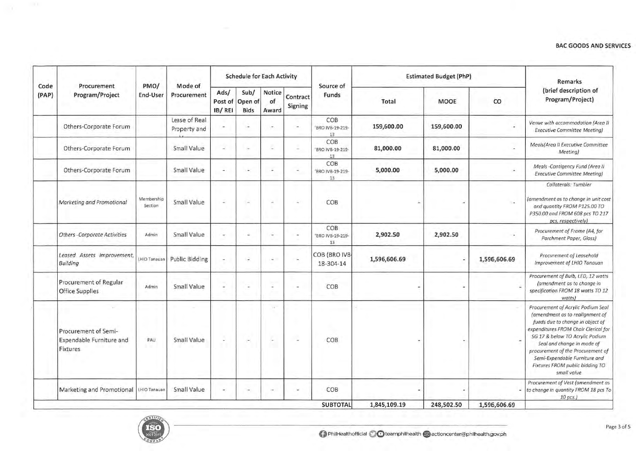|               | Procurement<br>Program/Project                               |                       | Mode of                       |                | <b>Schedule for Each Activity</b>      |                       |                     |                               |              | <b>Estimated Budget (PhP)</b> |                | Remarks                                                                                                                                                                                                                                                                                                                                    |
|---------------|--------------------------------------------------------------|-----------------------|-------------------------------|----------------|----------------------------------------|-----------------------|---------------------|-------------------------------|--------------|-------------------------------|----------------|--------------------------------------------------------------------------------------------------------------------------------------------------------------------------------------------------------------------------------------------------------------------------------------------------------------------------------------------|
| Code<br>(PAP) |                                                              | PMO/<br>End-User      | Procurement                   | Ads/<br>IB/REI | Sub/<br>Post of Open of<br><b>Bids</b> | Notice<br>of<br>Award | Contract<br>Signing | Source of<br>Funds            | Total        | <b>MOOE</b>                   | $\rm{co}$      | (brief description of<br>Program/Project)                                                                                                                                                                                                                                                                                                  |
|               | Others-Corporate Forum                                       |                       | Lease of Real<br>Property and | ÷              | i e                                    |                       | ÷                   | COB<br>BRO IVB-19-219-<br>13  | 159,600.00   | 159,600.00                    | ۰              | Venue with accommodation (Area II<br><b>Executive Committee Meeting)</b>                                                                                                                                                                                                                                                                   |
|               | Others-Corporate Forum                                       |                       | Small Value                   | ۷              |                                        | c                     |                     | COB<br>'BRO IVB-19-219-<br>13 | 81,000.00    | 81,000.00                     |                | Meals(Area II Executive Committee<br>Meeting)                                                                                                                                                                                                                                                                                              |
|               | Others-Corporate Forum                                       |                       | Small Value                   | $\overline{a}$ | <b>14</b>                              |                       | ×.                  | COB<br>'BRO IVB-19-219-<br>13 | 5,000.00     | 5,000.00                      |                | Meals -Contigency Fund (Area II<br><b>Executive Committee Meeting)</b>                                                                                                                                                                                                                                                                     |
|               | Marketing and Promotional                                    | Membership<br>Section | Small Value                   | J,             | r.                                     | ٠                     | ÷                   | COB                           |              |                               |                | Collaterals: Tumbler<br>(amendment as to change in unit cost<br>and quantity FROM P125.00 TO<br>P350.00 and FROM 608 pcs TO 217<br>pcs, respectively)                                                                                                                                                                                      |
|               | Others -Corporate Activities                                 | Admin                 | Small Value                   | ä,             | ٠                                      |                       | $\sim$              | COB<br>'BRO IVB-19-219-<br>13 | 2,902.50     | 2,902.50                      | ٠              | Procurement of Frame (A4, for<br>Parchment Paper, Glass)                                                                                                                                                                                                                                                                                   |
|               | Leased Assets Improvement,<br>Building                       | HIO Tanauan           | <b>Public Bidding</b>         | $\ddot{}$      | J.                                     |                       | ÷.                  | COB (BRO IVB-<br>18-304-14    | 1,596,606.69 |                               | 1,596,606.69   | Procurement of Leasehold<br>Improvement of LHIO Tanauan                                                                                                                                                                                                                                                                                    |
|               | Procurement of Regular<br><b>Office Supplies</b>             | Admin                 | Small Value                   | ż              |                                        | i.                    |                     | COB                           |              |                               |                | Procurement of Bulb, LED, 12 watts<br>(amendment as to change in<br>specification FROM 18 watts TO 12<br>watts)                                                                                                                                                                                                                            |
|               | Procurement of Semi-<br>Expendable Furniture and<br>Fixtures | PAU                   | Small Value                   | Ļ              | ÷.                                     | $\sim$<br>ç.          | ü                   | COB                           |              |                               |                | Procurement of Acrylic Podium Seal<br>(amendment as to realignment of<br>funds due to change in object of<br>expenditures FROM Chair Clerical for<br>SG 17 & below TO Acrylic Podium<br>Seal and change in mode of<br>procurement of the Procurement of<br>Semi-Expendable Furniture and<br>Fixtures FROM public bidding TO<br>small value |
|               | Marketing and Promotional                                    | LHIO Tanauan          | Small Value                   | ÷              | ×                                      |                       | w.                  | COB                           |              |                               | $\overline{a}$ | Procurement of Vest (amendment as<br>to change in quantity FROM 18 pcs To<br>$10$ pcs.)                                                                                                                                                                                                                                                    |
|               |                                                              |                       |                               |                |                                        |                       |                     | <b>SUBTOTAL</b>               | 1.845.109.19 | 248,502.50                    | 1,596,606.69   |                                                                                                                                                                                                                                                                                                                                            |

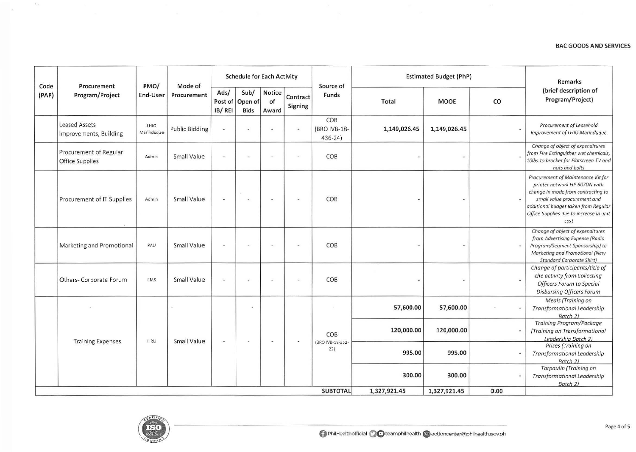| Code  | Procurement                                      | PMO/<br>Mode of<br>End-User<br>Procurement |                       | <b>Schedule for Each Activity</b>      |                          |                          |                          | Source of                         | <b>Estimated Budget (PhP)</b> | <b>Remarks</b> |                                           |                                                                                                                                                                                                                                     |
|-------|--------------------------------------------------|--------------------------------------------|-----------------------|----------------------------------------|--------------------------|--------------------------|--------------------------|-----------------------------------|-------------------------------|----------------|-------------------------------------------|-------------------------------------------------------------------------------------------------------------------------------------------------------------------------------------------------------------------------------------|
| (PAP) | Program/Project                                  |                                            | Ads/<br>IB/REI        | Sub/<br>Post of Open of<br><b>Bids</b> | Notice<br>of<br>Award    | Contract<br>Signing      | Funds                    | Total                             | <b>MOOE</b>                   | CO             | (brief description of<br>Program/Project) |                                                                                                                                                                                                                                     |
|       | <b>Leased Assets</b><br>Improvements, Building   | LHIO<br>Marinduque                         | <b>Public Bidding</b> | ÷,                                     | $\overline{\phantom{a}}$ | i.                       | $\dot{\phantom{1}}$      | COB<br>(BRO IVB-18-<br>$436 - 24$ | 1,149,026.45                  | 1,149,026.45   |                                           | Procurement of Leasehold<br>Improvement of LHIO Marinduque                                                                                                                                                                          |
|       | Procurement of Regular<br><b>Office Supplies</b> | Admin                                      | Small Value           | $\overline{a}$                         |                          |                          | $\overline{\phantom{a}}$ | COB                               |                               | ٠              |                                           | Change of object of expenditures<br>from Fire Extinguisher wet chemicals,<br>10lbs.to bracket for Flatscreen TV and<br>nuts and bolts                                                                                               |
|       | Procurement of IT Supplies                       | Admin                                      | Small Value           | a                                      | <b>Single</b>            | <b>A</b>                 |                          | COB                               |                               | ۰              |                                           | Procurement of Maintenance Kit for<br>printer network HP 607DN with<br>change in mode from contracting to<br>small value procurement and<br>additional budget taken from Regular<br>Office Supplies due to increase in unit<br>cost |
|       | Marketing and Promotional                        | PAU                                        | Small Value           | $\overline{a}$                         | ٠                        |                          | $\overline{\phantom{a}}$ | COB                               |                               |                |                                           | Change of object of expenditures<br>from Advertising Expense (Radio<br>Program/Segment Sponsorship) to<br>Marketing and Promotional (New<br><b>Standard Corporate Shirt)</b>                                                        |
|       | Others-Corporate Forum                           | FMS                                        | Small Value           | ÷                                      | w.                       | ۰                        | $\overline{\phantom{a}}$ | COB                               |                               | $\blacksquare$ |                                           | Change of participants/title of<br>the activity from Collecting<br>Officers Forum to Special<br>Disbursing Officers Forum                                                                                                           |
|       |                                                  |                                            |                       |                                        | k.                       |                          |                          |                                   | 57,600.00                     | 57,600.00      |                                           | Meals (Training on<br><b>Transformational Leadership</b><br>Batch 2)                                                                                                                                                                |
|       |                                                  | HRU                                        | Small Value           | $\overline{\phantom{a}}$               | $\overline{a}$           | $\overline{\phantom{a}}$ | $\overline{\phantom{a}}$ | COB                               | 120,000.00                    | 120,000.00     |                                           | <b>Training Program/Package</b><br>(Training on Transformational<br>Leadership Batch 2)                                                                                                                                             |
|       | <b>Training Expenses</b>                         |                                            |                       |                                        |                          |                          |                          | (BRO IVB-19-352-<br>22)           | 995.00                        | 995.00         |                                           | Prizes (Training on<br>Transformational Leadership<br>Batch 2)                                                                                                                                                                      |
|       |                                                  |                                            |                       |                                        |                          |                          |                          |                                   | 300.00                        | 300.00         |                                           | Tarpaulin (Training on<br><b>Transformational Leadership</b><br>Batch 2)                                                                                                                                                            |
|       |                                                  |                                            |                       |                                        |                          |                          |                          | <b>SUBTOTAL</b>                   | 1,327,921.45                  | 1,327,921.45   | 0.00                                      |                                                                                                                                                                                                                                     |



 $E_{\rm E}$ 

l su